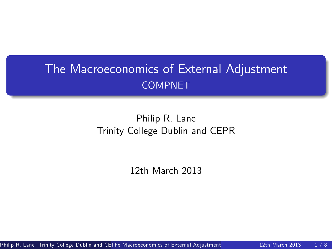## The Macroeconomics of External Adjustment COMPNET

## Philip R. Lane Trinity College Dublin and CEPR

12th March 2013

Philip R. Lane Trinity College Dublin and CE[The Macroeconomics of External Adjustment](#page-19-0) 12th March 2013 1/8

<span id="page-0-0"></span>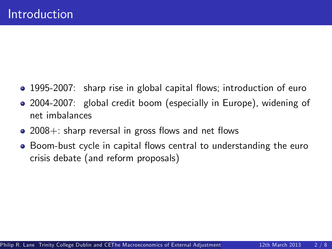- 1995-2007: sharp rise in global capital flows; introduction of euro
- 2004-2007: global credit boom (especially in Europe), widening of net imbalances
- $\bullet$  2008+: sharp reversal in gross flows and net flows
- Boom-bust cycle in capital flows central to understanding the euro crisis debate (and reform proposals)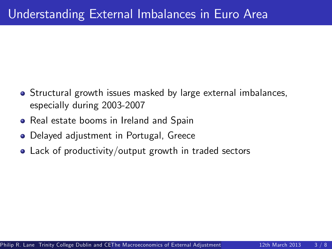- Structural growth issues masked by large external imbalances, especially during 2003-2007
- **•** Real estate booms in Ireland and Spain
- Delayed adjustment in Portugal, Greece
- Lack of productivity/output growth in traded sectors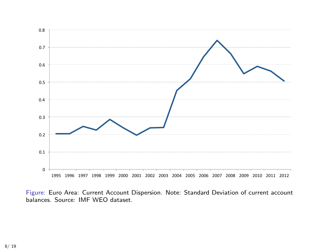

Figure: Euro Area: Current Account Dispersion. Note: Standard Deviation of current account balances. Source: IMF WEO dataset.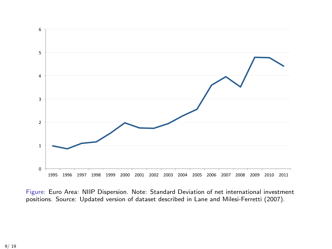

Figure: Euro Area: NIIP Dispersion. Note: Standard Deviation of net international investment positions. Source: Updated version of dataset described in Lane and Milesi-Ferretti (2007).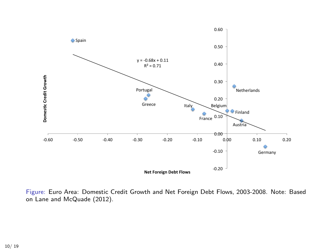

Figure: Euro Area: Domestic Credit Growth and Net Foreign Debt Flows, 2003-2008. Note: Based on Lane and McQuade (2012).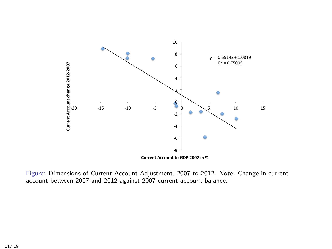

Figure: Dimensions of Current Account Adjustment, 2007 to 2012. Note: Change in current account between 2007 and 2012 against 2007 current account balance.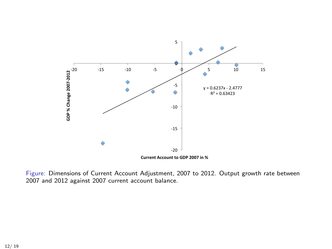

Figure: Dimensions of Current Account Adjustment, 2007 to 2012. Output growth rate between 2007 and 2012 against 2007 current account balance.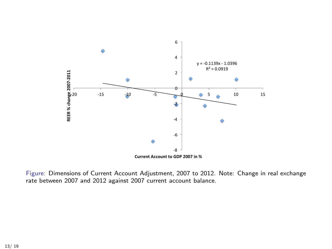

Figure: Dimensions of Current Account Adjustment, 2007 to 2012. Note: Change in real exchange rate between 2007 and 2012 against 2007 current account balance.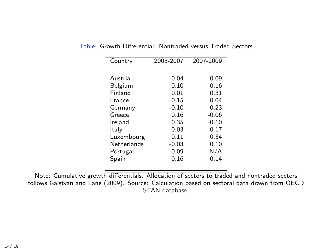| Country     | 2003-2007 | 2007-2009 |
|-------------|-----------|-----------|
|             |           |           |
| Austria     | $-0.04$   | 0.09      |
| Belgium     | 0.10      | 0.16      |
| Finland     | 0.01      | 0.31      |
| France      | 0.15      | 0.04      |
| Germany     | $-0.10$   | 0.23      |
| Greece      | 0.16      | $-0.06$   |
| Ireland     | 0.35      | $-0.10$   |
| ltalv       | 0.03      | 0.17      |
| Luxembourg  | 0.11      | 0.34      |
| Netherlands | $-0.03$   | 0.10      |
| Portugal    | 0.09      | N/A       |
| Spain       | 0.16      | 0.14      |
|             |           |           |

Table: Growth Differential: Nontraded versus Traded Sectors

Note: Cumulative growth differentials. Allocation of sectors to traded and nontraded sectors follows Galstyan and Lane (2009). Source: Calculation based on sectoral data drawn from OECD STAN database.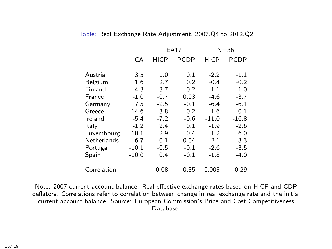|             |         | $E\overline{A}17$ |         | $N = 36$ |         |
|-------------|---------|-------------------|---------|----------|---------|
|             | СA      | HICP              | PGDP    | HICP     | PGDP    |
|             |         |                   |         |          |         |
| Austria     | 3.5     | 1.0               | 0.1     | $-2.2$   | $-1.1$  |
| Belgium     | 1.6     | 2.7               | 0.2     | $-0.4$   | $-0.2$  |
| Finland     | 4.3     | 3.7               | 0.2     | $-1.1$   | $-1.0$  |
| France      | $-1.0$  | $-0.7$            | 0.03    | $-4.6$   | $-3.7$  |
| Germany     | 7.5     | $-2.5$            | $-0.1$  | $-6.4$   | $-6.1$  |
| Greece      | $-14.6$ | 3.8               | 0.2     | 1.6      | 0.1     |
| Ireland     | $-5.4$  | $-7.2$            | $-0.6$  | $-11.0$  | $-16.8$ |
| Italy       | $-1.2$  | 2.4               | 0.1     | $-1.9$   | $-2.6$  |
| Luxembourg  | 10.1    | 2.9               | 0.4     | 1.2      | 6.0     |
| Netherlands | 6.7     | 0.1               | $-0.04$ | $-2.1$   | $-3.3$  |
| Portugal    | $-10.1$ | $-0.5$            | $-0.1$  | $-2.6$   | $-3.5$  |
| Spain       | $-10.0$ | 0.4               | $-0.1$  | $-1.8$   | $-4.0$  |
| Correlation |         | 0.08              | 0.35    | 0.005    | 0.29    |

Table: Real Exchange Rate Adjustment, 2007.Q4 to 2012.Q2

Note: 2007 current account balance. Real effective exchange rates based on HICP and GDP deflators. Correlations refer to correlation between change in real exchange rate and the initial current account balance. Source: European Commission's Price and Cost Competitiveness Database.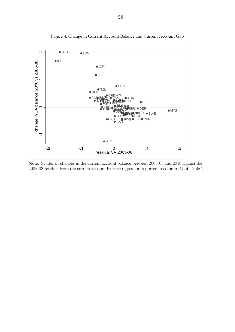

Figure 4. Change in Current Account Balance and Current Account Gap

Note: Scatter of changes in the current account balance between 2005-08 and 2010 against the 2005-08 residual from the current account balance regression reported in column (1) of Table 1.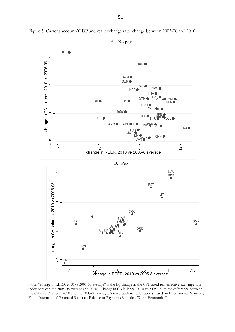

Figure 5. Current account/GDP and real exchange rate: change between 2005-08 and 2010

Note: "change in REER 2010 vs 2005-08 average" is the log change in the CPI-based real effective exchange rate index between the 2005-08 average and 2010. "Change in CA balance, 2010 vs 2005-08" is the difference between the CA/GDP ratio in 2010 and the 2005-08 average. Source: authors' calculations based on International Monetary Fund, International Financial Statistics, Balance of Payments Statistics, World Economic Outlook.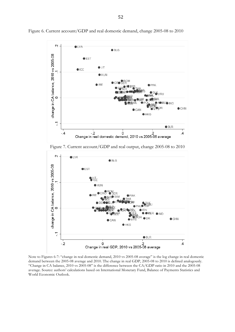

Figure 6. Current account/GDP and real domestic demand, change 2005-08 to 2010

Note to Figures 6-7: "change in real domestic demand, 2010 vs 2005-08 average" is the log change in real domestic demand between the 2005-08 average and 2010. The change in real GDP, 2005-08 to 2010 is defined analogously. "Change in CA balance, 2010 vs 2005-08" is the difference between the CA/GDP ratio in 2010 and the 2005-08 average. Source: authors' calculations based on International Monetary Fund, Balance of Payments Statistics and World Economic Outlook.

Change in real GDP, 2010 vs 2005-08 average

 $\ddot{o}$ 

 $\bigcirc$  BLR

 $\overline{.4}$ 

 $\overline{2}$ 

 $\sum_{\mathbf{i}}$ 

 $-2$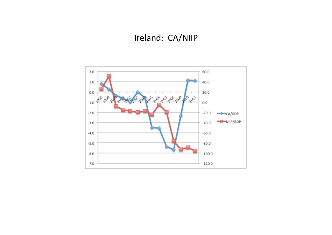## Ireland: CA/NIIP

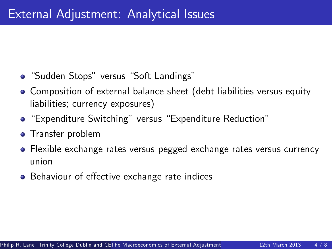- "Sudden Stops" versus "Soft Landings"
- Composition of external balance sheet (debt liabilities versus equity liabilities; currency exposures)
- "Expenditure Switching" versus "Expenditure Reduction"
- **o** Transfer problem
- Flexible exchange rates versus pegged exchange rates versus currency union
- Behaviour of effective exchange rate indices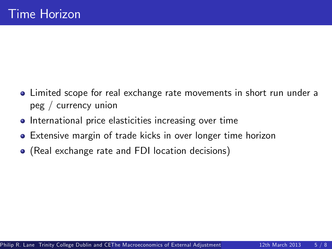- Limited scope for real exchange rate movements in short run under a peg / currency union
- **•** International price elasticities increasing over time
- Extensive margin of trade kicks in over longer time horizon
- (Real exchange rate and FDI location decisions)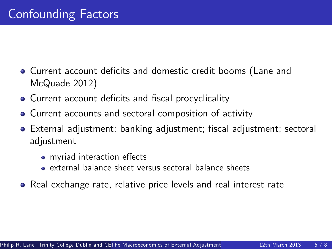- **Current account deficits and domestic credit booms (Lane and** McQuade 2012)
- Current account deficits and fiscal procyclicality
- Current accounts and sectoral composition of activity
- **•** External adjustment; banking adjustment; fiscal adjustment; sectoral adjustment
	- myriad interaction effects
	- external balance sheet versus sectoral balance sheets
- Real exchange rate, relative price levels and real interest rate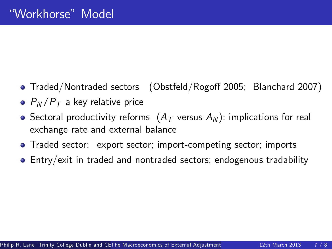- Traded/Nontraded sectors (Obstfeld/Rogoff 2005; Blanchard 2007)
- $\bullet$   $P_N/P_T$  a key relative price
- Sectoral productivity reforms  $(A<sub>T</sub>$  versus  $A<sub>N</sub>$ ): implications for real exchange rate and external balance
- Traded sector: export sector; import-competing sector; imports
- Entry/exit in traded and nontraded sectors; endogenous tradability